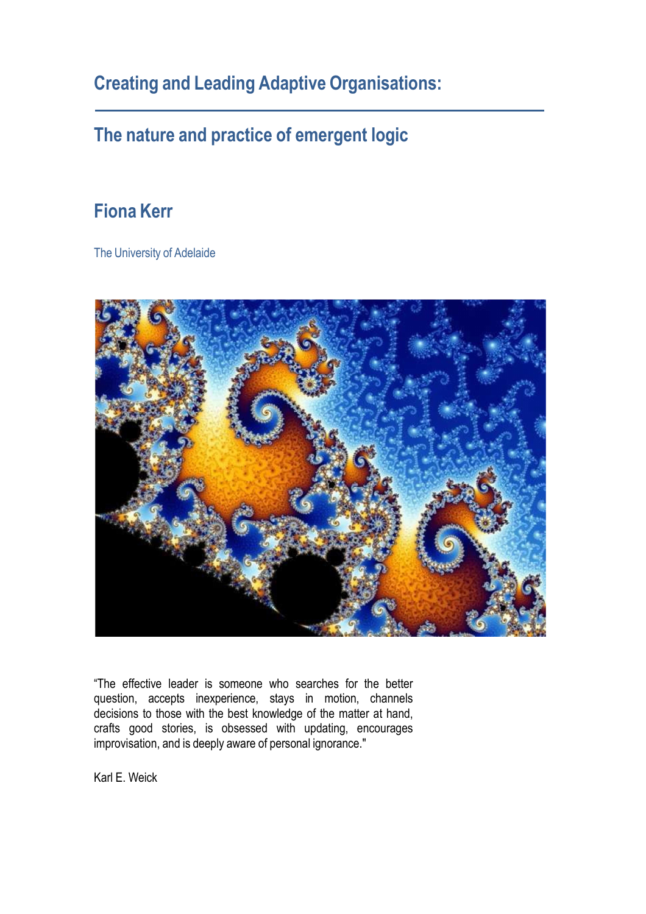**Creating and Leading Adaptive Organisations:**

### **The nature and practice of emergent logic**

#### **Fiona Kerr**

The University of Adelaide



"The effective leader is someone who searches for the better question, accepts inexperience, stays in motion, channels decisions to those with the best knowledge of the matter at hand, crafts good stories, is obsessed with updating, encourages improvisation, and is deeply aware of personal ignorance."

Karl E. Weick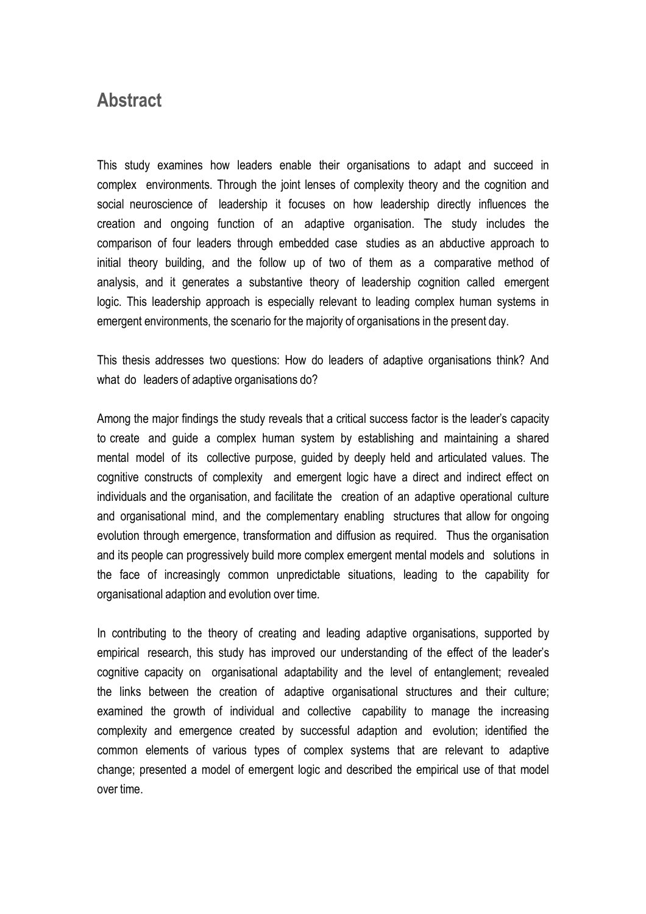#### **Abstract**

This study examines how leaders enable their organisations to adapt and succeed in complex environments. Through the joint lenses of complexity theory and the cognition and social neuroscience of leadership it focuses on how leadership directly influences the creation and ongoing function of an adaptive organisation. The study includes the comparison of four leaders through embedded case studies as an abductive approach to initial theory building, and the follow up of two of them as a comparative method of analysis, and it generates a substantive theory of leadership cognition called emergent logic. This leadership approach is especially relevant to leading complex human systems in emergent environments, the scenario for the majority of organisations in the present day.

This thesis addresses two questions: How do leaders of adaptive organisations think? And what do leaders of adaptive organisations do?

Among the major findings the study reveals that a critical success factor is the leader's capacity to create and guide a complex human system by establishing and maintaining a shared mental model of its collective purpose, guided by deeply held and articulated values. The cognitive constructs of complexity and emergent logic have a direct and indirect effect on individuals and the organisation, and facilitate the creation of an adaptive operational culture and organisational mind, and the complementary enabling structures that allow for ongoing evolution through emergence, transformation and diffusion as required. Thus the organisation and its people can progressively build more complex emergent mental models and solutions in the face of increasingly common unpredictable situations, leading to the capability for organisational adaption and evolution over time.

In contributing to the theory of creating and leading adaptive organisations, supported by empirical research, this study has improved our understanding of the effect of the leader's cognitive capacity on organisational adaptability and the level of entanglement; revealed the links between the creation of adaptive organisational structures and their culture; examined the growth of individual and collective capability to manage the increasing complexity and emergence created by successful adaption and evolution; identified the common elements of various types of complex systems that are relevant to adaptive change; presented a model of emergent logic and described the empirical use of that model over time.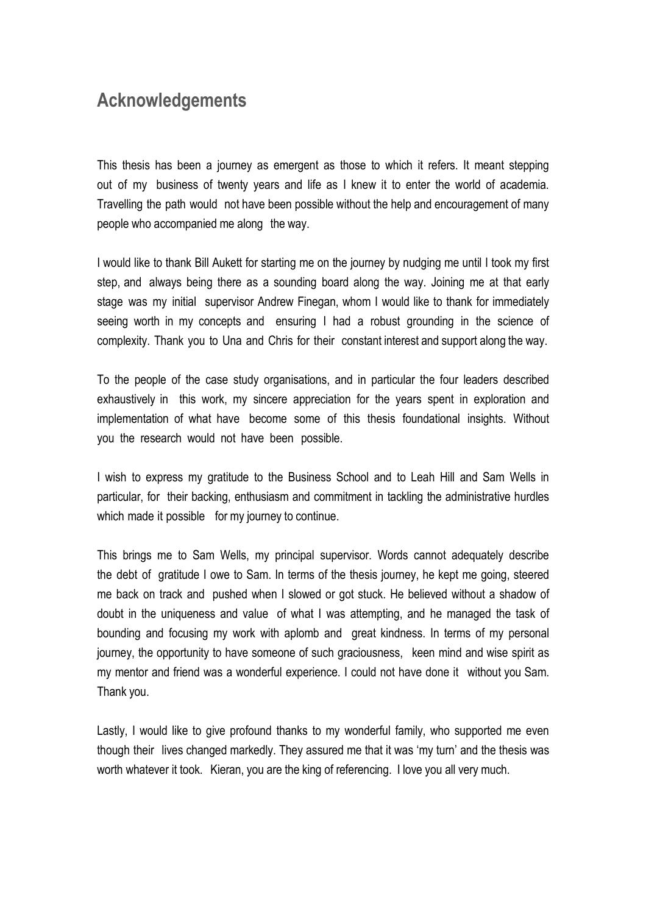#### **Acknowledgements**

This thesis has been a journey as emergent as those to which it refers. It meant stepping out of my business of twenty years and life as I knew it to enter the world of academia. Travelling the path would not have been possible without the help and encouragement of many people who accompanied me along the way.

I would like to thank Bill Aukett for starting me on the journey by nudging me until I took my first step, and always being there as a sounding board along the way. Joining me at that early stage was my initial supervisor Andrew Finegan, whom I would like to thank for immediately seeing worth in my concepts and ensuring I had a robust grounding in the science of complexity. Thank you to Una and Chris for their constant interest and support along the way.

To the people of the case study organisations, and in particular the four leaders described exhaustively in this work, my sincere appreciation for the years spent in exploration and implementation of what have become some of this thesis foundational insights. Without you the research would not have been possible.

I wish to express my gratitude to the Business School and to Leah Hill and Sam Wells in particular, for their backing, enthusiasm and commitment in tackling the administrative hurdles which made it possible for my journey to continue.

This brings me to Sam Wells, my principal supervisor. Words cannot adequately describe the debt of gratitude I owe to Sam. In terms of the thesis journey, he kept me going, steered me back on track and pushed when I slowed or got stuck. He believed without a shadow of doubt in the uniqueness and value of what I was attempting, and he managed the task of bounding and focusing my work with aplomb and great kindness. In terms of my personal journey, the opportunity to have someone of such graciousness, keen mind and wise spirit as my mentor and friend was a wonderful experience. I could not have done it without you Sam. Thank you.

Lastly, I would like to give profound thanks to my wonderful family, who supported me even though their lives changed markedly. They assured me that it was 'my turn' and the thesis was worth whatever it took. Kieran, you are the king of referencing. I love you all very much.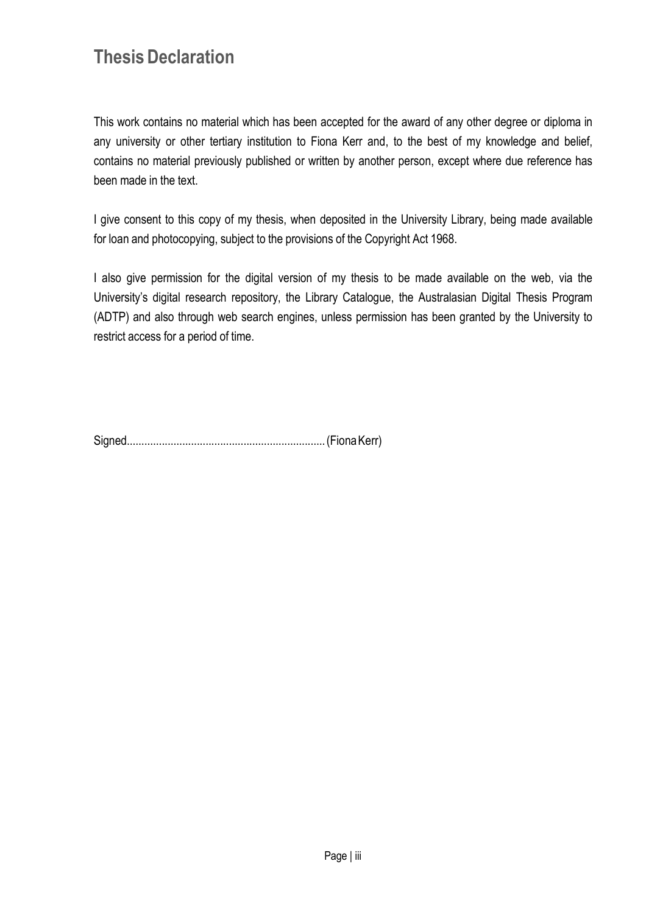### **Thesis Declaration**

This work contains no material which has been accepted for the award of any other degree or diploma in any university or other tertiary institution to Fiona Kerr and, to the best of my knowledge and belief, contains no material previously published or written by another person, except where due reference has been made in the text.

I give consent to this copy of my thesis, when deposited in the University Library, being made available for loan and photocopying, subject to the provisions of the Copyright Act 1968.

I also give permission for the digital version of my thesis to be made available on the web, via the University's digital research repository, the Library Catalogue, the Australasian Digital Thesis Program (ADTP) and also through web search engines, unless permission has been granted by the University to restrict access for a period of time.

Signed.................................................................... (Fiona Kerr)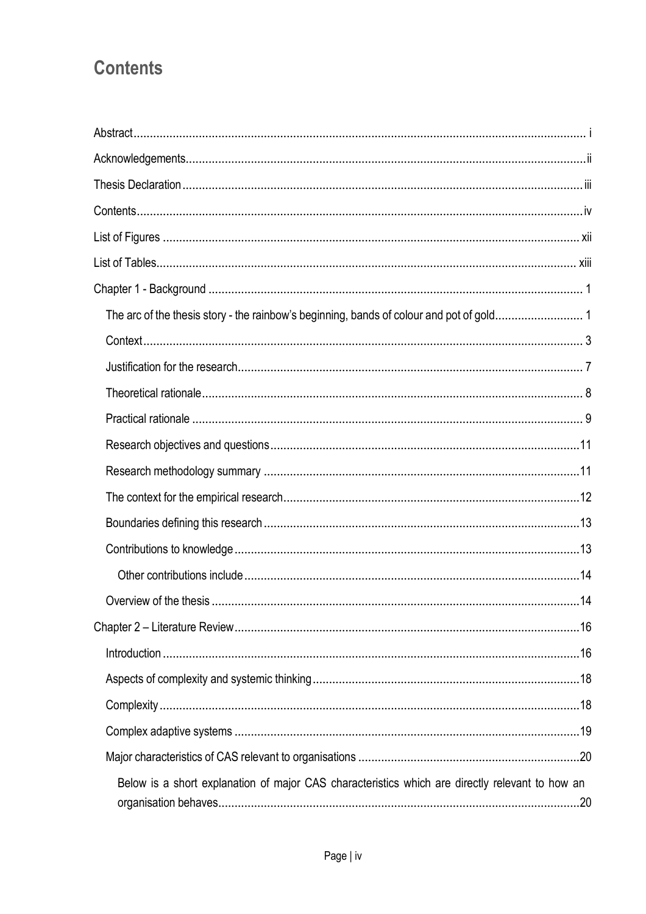## **Contents**

| Below is a short explanation of major CAS characteristics which are directly relevant to how an |
|-------------------------------------------------------------------------------------------------|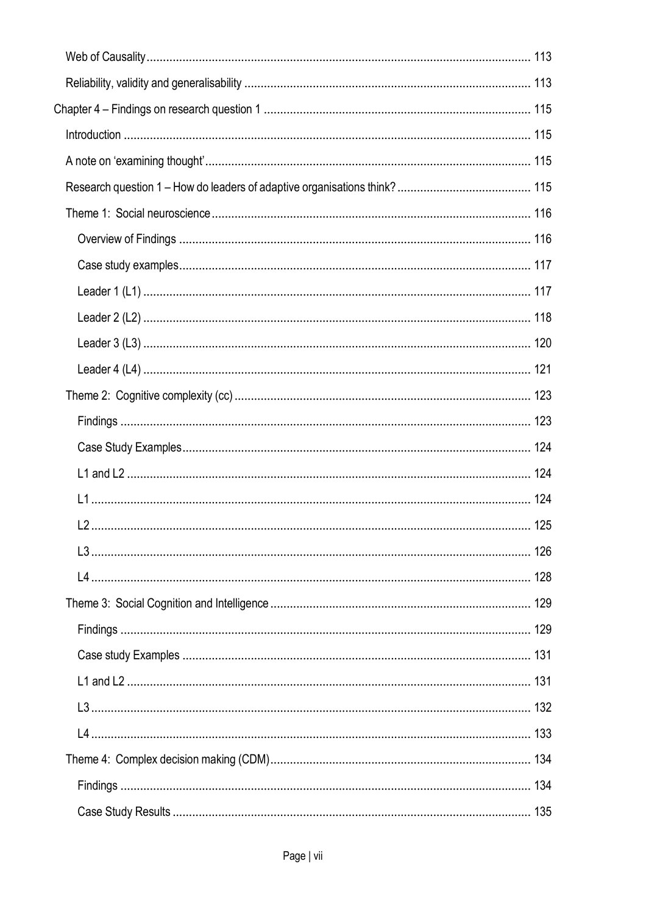| Chapter 4 – Findings on research question 1 ………………………………………………………………………………… 115 |  |
|---------------------------------------------------------------------------------|--|
|                                                                                 |  |
|                                                                                 |  |
|                                                                                 |  |
|                                                                                 |  |
|                                                                                 |  |
|                                                                                 |  |
|                                                                                 |  |
|                                                                                 |  |
|                                                                                 |  |
|                                                                                 |  |
|                                                                                 |  |
|                                                                                 |  |
|                                                                                 |  |
|                                                                                 |  |
|                                                                                 |  |
|                                                                                 |  |
|                                                                                 |  |
|                                                                                 |  |
|                                                                                 |  |
|                                                                                 |  |
|                                                                                 |  |
|                                                                                 |  |
|                                                                                 |  |
|                                                                                 |  |
|                                                                                 |  |
|                                                                                 |  |
|                                                                                 |  |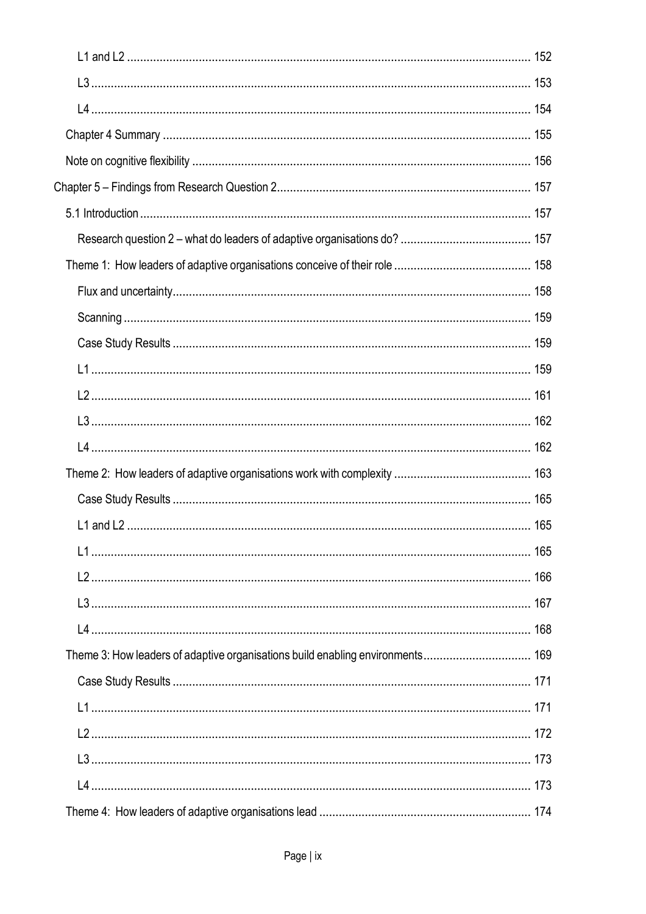| Theme 3: How leaders of adaptive organisations build enabling environments 169 |  |
|--------------------------------------------------------------------------------|--|
|                                                                                |  |
|                                                                                |  |
|                                                                                |  |
|                                                                                |  |
|                                                                                |  |
|                                                                                |  |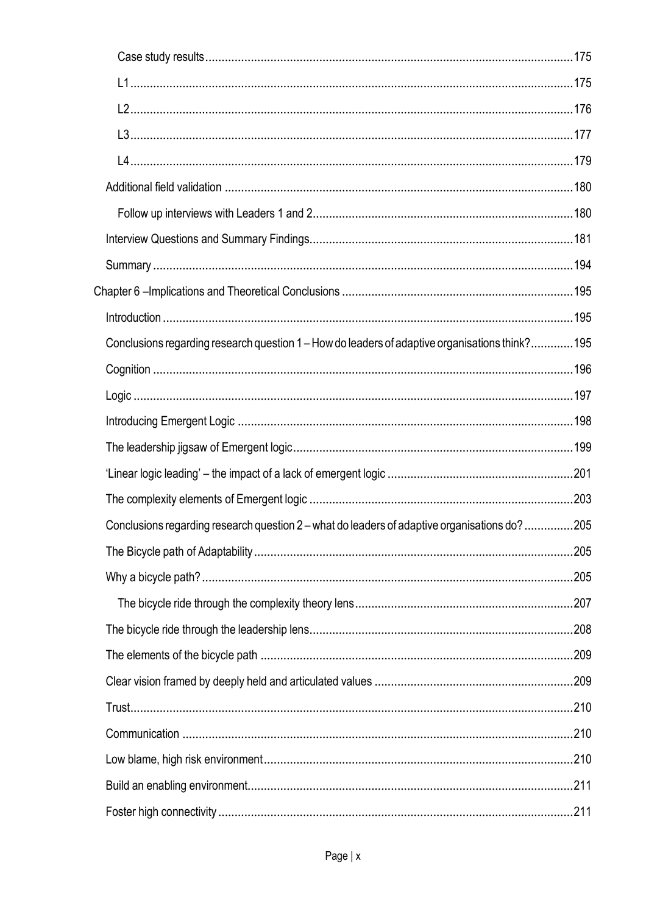| Conclusions regarding research question 1 – How do leaders of adaptive organisations think?195 |      |
|------------------------------------------------------------------------------------------------|------|
|                                                                                                |      |
|                                                                                                |      |
|                                                                                                |      |
|                                                                                                |      |
|                                                                                                |      |
|                                                                                                |      |
| Conclusions regarding research question 2 – what do leaders of adaptive organisations do?205   |      |
|                                                                                                | .205 |
|                                                                                                |      |
|                                                                                                |      |
|                                                                                                |      |
|                                                                                                |      |
|                                                                                                |      |
|                                                                                                |      |
|                                                                                                |      |
|                                                                                                |      |
|                                                                                                |      |
|                                                                                                |      |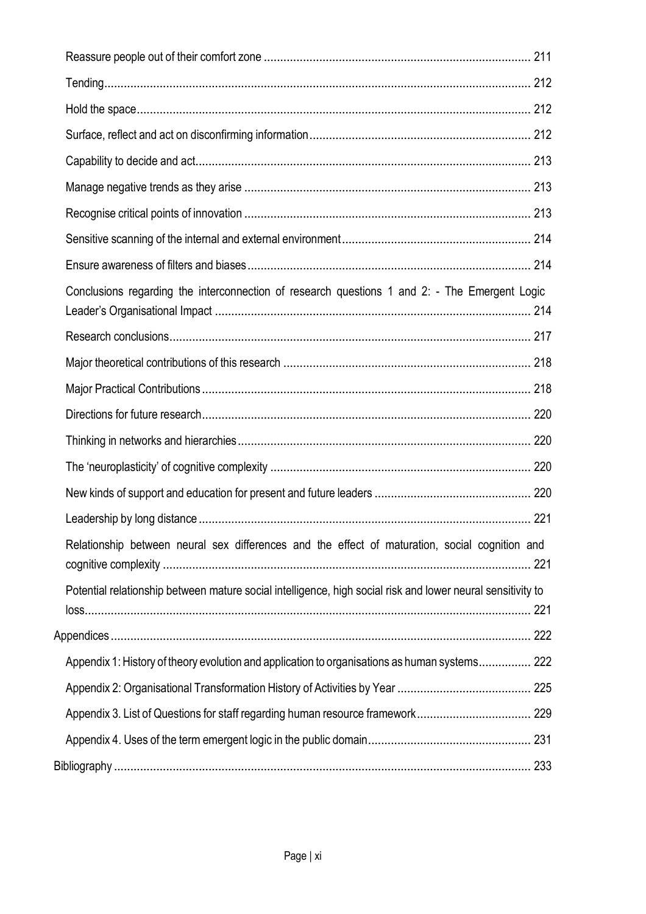| Conclusions regarding the interconnection of research questions 1 and 2: - The Emergent Logic               |  |
|-------------------------------------------------------------------------------------------------------------|--|
|                                                                                                             |  |
|                                                                                                             |  |
|                                                                                                             |  |
|                                                                                                             |  |
|                                                                                                             |  |
|                                                                                                             |  |
|                                                                                                             |  |
|                                                                                                             |  |
| Relationship between neural sex differences and the effect of maturation, social cognition and              |  |
| Potential relationship between mature social intelligence, high social risk and lower neural sensitivity to |  |
|                                                                                                             |  |
| Appendix 1: History of theory evolution and application to organisations as human systems 222               |  |
|                                                                                                             |  |
|                                                                                                             |  |
|                                                                                                             |  |
|                                                                                                             |  |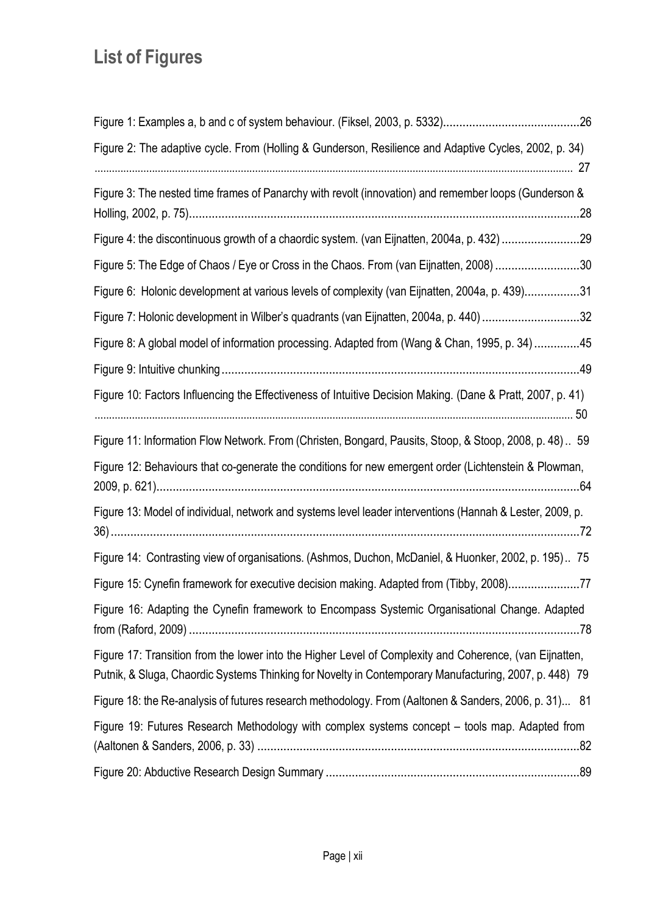# **List of Figures**

| Figure 2: The adaptive cycle. From (Holling & Gunderson, Resilience and Adaptive Cycles, 2002, p. 34)                                                                                                             |
|-------------------------------------------------------------------------------------------------------------------------------------------------------------------------------------------------------------------|
| Figure 3: The nested time frames of Panarchy with revolt (innovation) and remember loops (Gunderson &<br>.28                                                                                                      |
| Figure 4: the discontinuous growth of a chaordic system. (van Eijnatten, 2004a, p. 432) 29                                                                                                                        |
| Figure 5: The Edge of Chaos / Eye or Cross in the Chaos. From (van Eijnatten, 2008) 30                                                                                                                            |
| Figure 6: Holonic development at various levels of complexity (van Eijnatten, 2004a, p. 439)31                                                                                                                    |
| Figure 7: Holonic development in Wilber's quadrants (van Eijnatten, 2004a, p. 440) 32                                                                                                                             |
| Figure 8: A global model of information processing. Adapted from (Wang & Chan, 1995, p. 34) 45                                                                                                                    |
|                                                                                                                                                                                                                   |
| Figure 10: Factors Influencing the Effectiveness of Intuitive Decision Making. (Dane & Pratt, 2007, p. 41)                                                                                                        |
| Figure 11: Information Flow Network. From (Christen, Bongard, Pausits, Stoop, & Stoop, 2008, p. 48) 59                                                                                                            |
| Figure 12: Behaviours that co-generate the conditions for new emergent order (Lichtenstein & Plowman,                                                                                                             |
| Figure 13: Model of individual, network and systems level leader interventions (Hannah & Lester, 2009, p.                                                                                                         |
| Figure 14: Contrasting view of organisations. (Ashmos, Duchon, McDaniel, & Huonker, 2002, p. 195) 75                                                                                                              |
| Figure 15: Cynefin framework for executive decision making. Adapted from (Tibby, 2008)77                                                                                                                          |
| Figure 16: Adapting the Cynefin framework to Encompass Systemic Organisational Change. Adapted                                                                                                                    |
| Figure 17: Transition from the lower into the Higher Level of Complexity and Coherence, (van Eijnatten,<br>Putnik, & Sluga, Chaordic Systems Thinking for Novelty in Contemporary Manufacturing, 2007, p. 448) 79 |
| Figure 18: the Re-analysis of futures research methodology. From (Aaltonen & Sanders, 2006, p. 31) 81                                                                                                             |
| Figure 19: Futures Research Methodology with complex systems concept - tools map. Adapted from                                                                                                                    |
|                                                                                                                                                                                                                   |